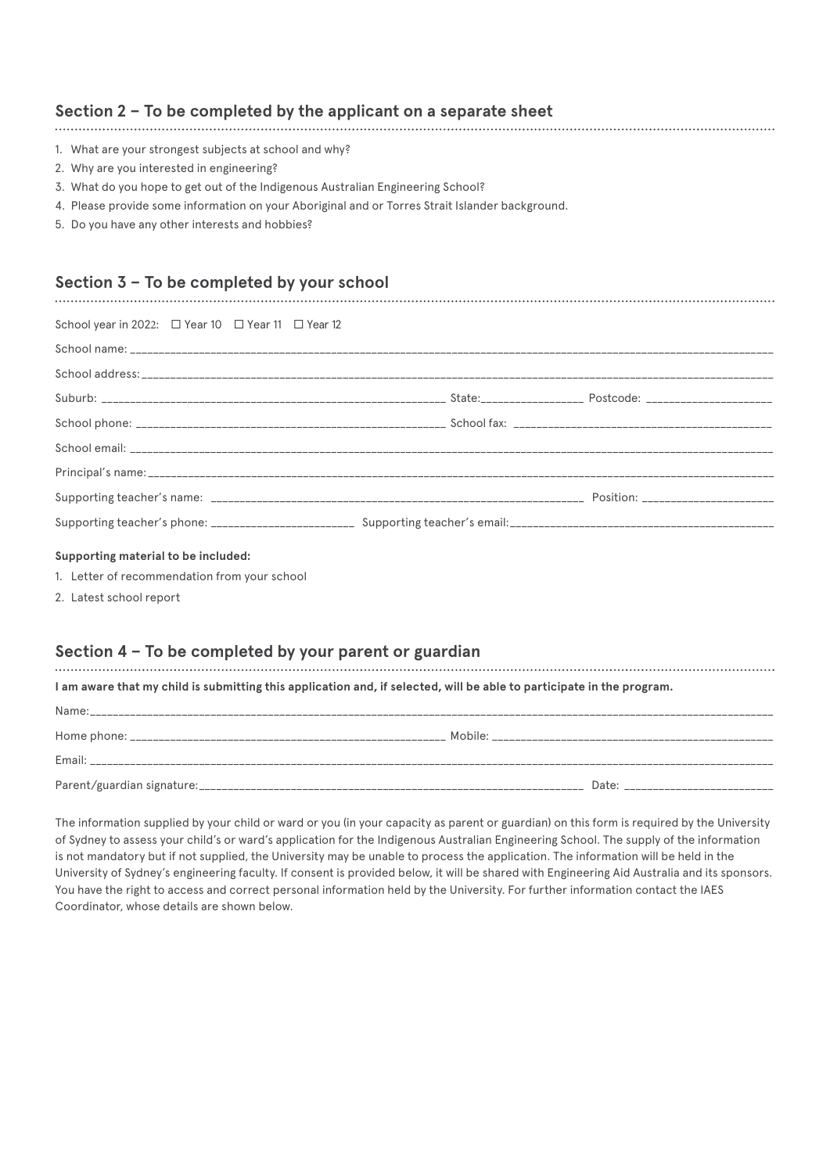## **Section 2 – To be completed by the applicant on a separate sheet**

- 1. What are your strongest subjects at school and why?
- 2. Why are you interested in engineering?
- 3. What do you hope to get out of the Indigenous Australian Engineering School?
- 4. Please provide some information on your Aboriginal and or Torres Strait Islander background.
- 5. Do you have any other interests and hobbies?

## **Section 3 – To be completed by your school**

| School year in 2022: □ Year 10 □ Year 11 □ Year 12 |  |
|----------------------------------------------------|--|
|                                                    |  |
|                                                    |  |
|                                                    |  |
|                                                    |  |
|                                                    |  |
|                                                    |  |
|                                                    |  |
|                                                    |  |
|                                                    |  |

#### **Supporting material to be included:**

- 1. Letter of recommendation from your school
- 2. Latest school report

### **Section 4 – To be completed by your parent or guardian**

**I am aware that my child is submitting this application and, if selected, will be able to participate in the program.**

| Name: |       |
|-------|-------|
|       |       |
|       |       |
|       | Date: |

The information supplied by your child or ward or you (in your capacity as parent or guardian) on this form is required by the University of Sydney to assess your child's or ward's application for the Indigenous Australian Engineering School. The supply of the information is not mandatory but if not supplied, the University may be unable to process the application. The information will be held in the University of Sydney's engineering faculty. If consent is provided below, it will be shared with Engineering Aid Australia and its sponsors. You have the right to access and correct personal information held by the University. For further information contact the IAES Coordinator, whose details are shown below.